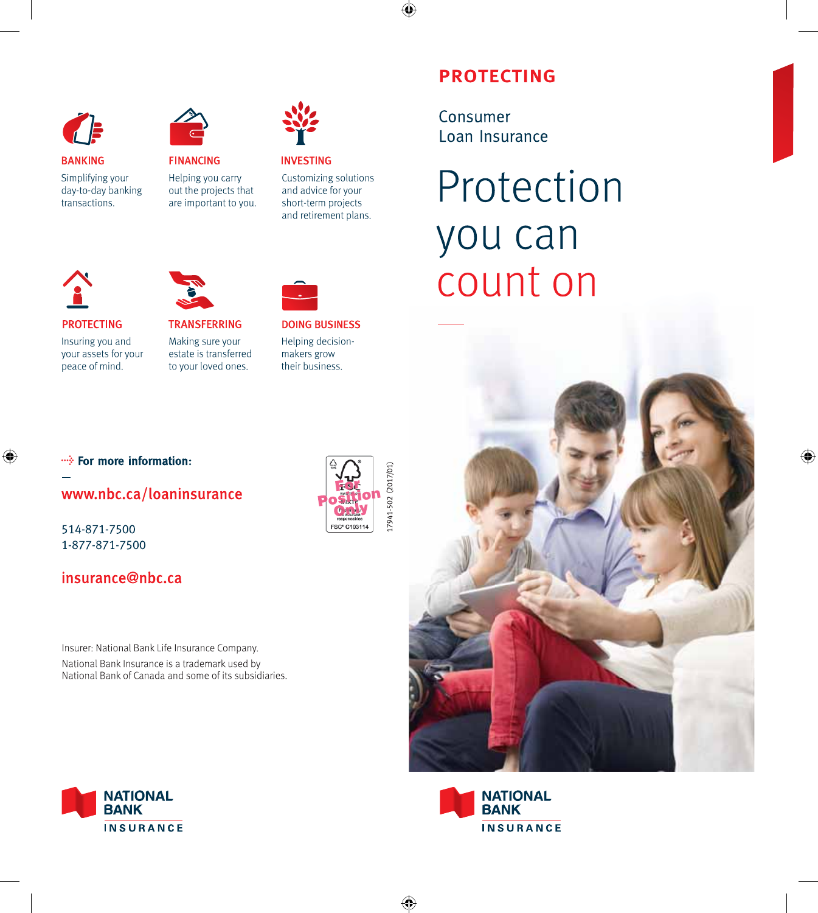



**BANKING** 

 $\mathbf{r}$ 

**PROTECTING** 

peace of mind.

Insuring you and

your assets for your

Simplifying your day-to-day banking transactions.



**TRANSFERRING** 

Making sure your

estate is transferred

to your loved ones.

out the projects that are important to you.



#### **INVESTING** Customizing solutions and advice for your short-term projects

and retirement plans.

**DOING BUSINESS** 

Helping decision-

makers grow

their business.

# **PROTECTING**

Consumer Loan Insurance

# Protection you can count on





•• For more information:

## www.nbc.ca/loaninsurance

514-871-7500 1-877-871-7500

## insurance@nbc.ca

Insurer: National Bank Life Insurance Company. National Bank Insurance is a trademark used by National Bank of Canada and some of its subsidiaries.



7941-502 (2017/01 FSC\* C103114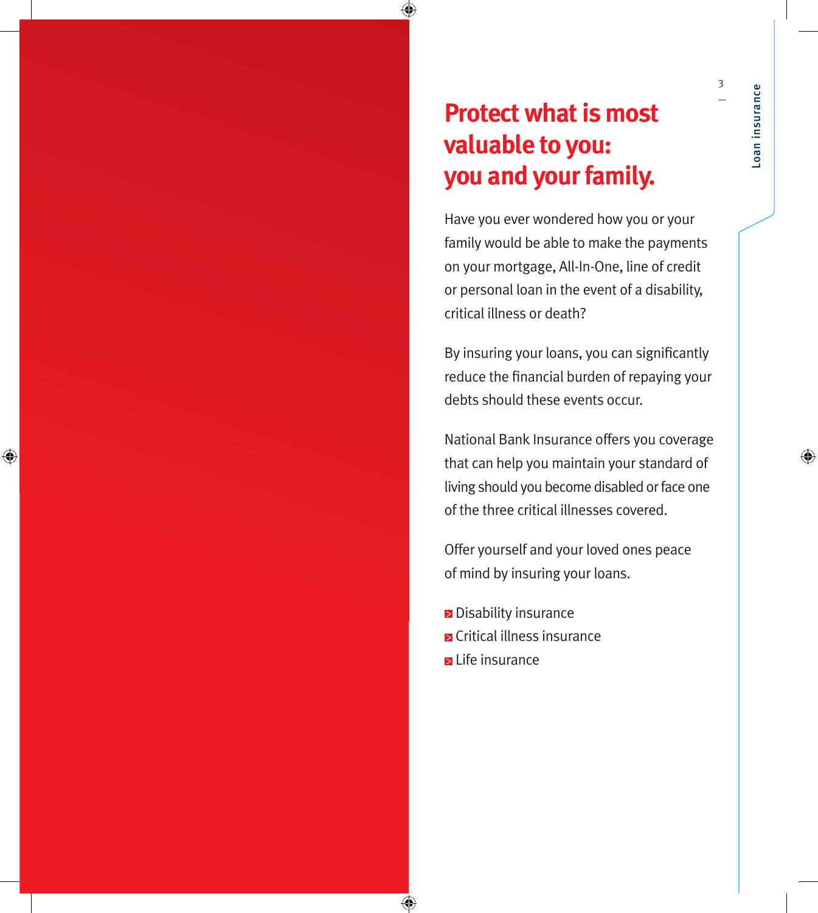# **Protect what is most valuable to you: you and your family.**

Have you ever wondered how you or your family would be able to make the payments on your mortgage, All-In-One, line of credit or personal loan in the event of a disability, critical illness or death?

By insuring your loans, you can significantly reduce the financial burden of repaying your debts should these events occur.

National Bank Insurance offers you coverage that can help you maintain your standard of living should you become disabled or face one of the three critical illnesses covered.

Offer yourself and your loved ones peace of mind by insuring your loans.

**Disability insurance E** Critical illness insurance Life insurance

3 —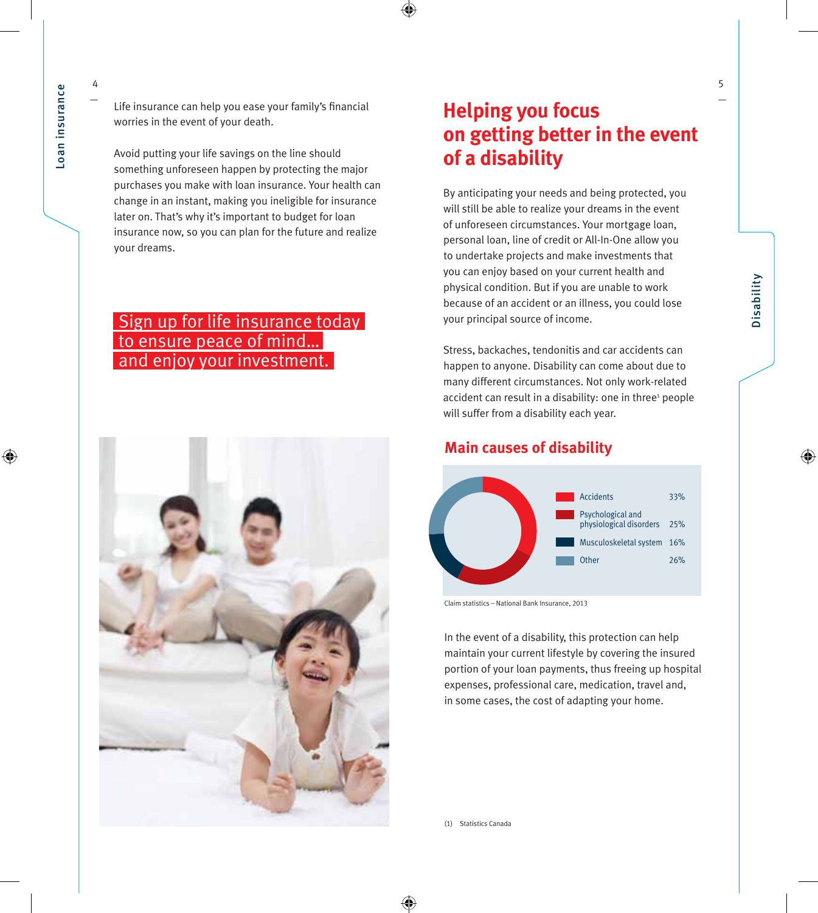4 —

Life insurance can help you ease your family's financial worries in the event of your death.

Avoid putting your life savings on the line should something unforeseen happen by protecting the major purchases you make with loan insurance. Your health can change in an instant, making you ineligible for insurance later on. That's why it's important to budget for loan insurance now, so you can plan for the future and realize your dreams.

## Sign up for life insurance today to ensure peace of mind… and enjoy your investment.



## **Helping you focus on getting better in the event of a disability**

By anticipating your needs and being protected, you will still be able to realize your dreams in the event of unforeseen circumstances. Your mortgage loan, personal loan, line of credit or All-In-One allow you to undertake projects and make investments that you can enjoy based on your current health and physical condition. But if you are unable to work because of an accident or an illness, you could lose your principal source of income.

Stress, backaches, tendonitis and car accidents can happen to anyone. Disability can come about due to many different circumstances. Not only work-related accident can result in a disability: one in three<sup>1</sup> people will suffer from a disability each year.

#### **Main causes of disability**



Claim statistics – National Bank Insurance, 2013

In the event of a disability, this protection can help maintain your current lifestyle by covering the insured portion of your loan payments, thus freeing up hospital expenses, professional care, medication, travel and, in some cases, the cost of adapting your home.

—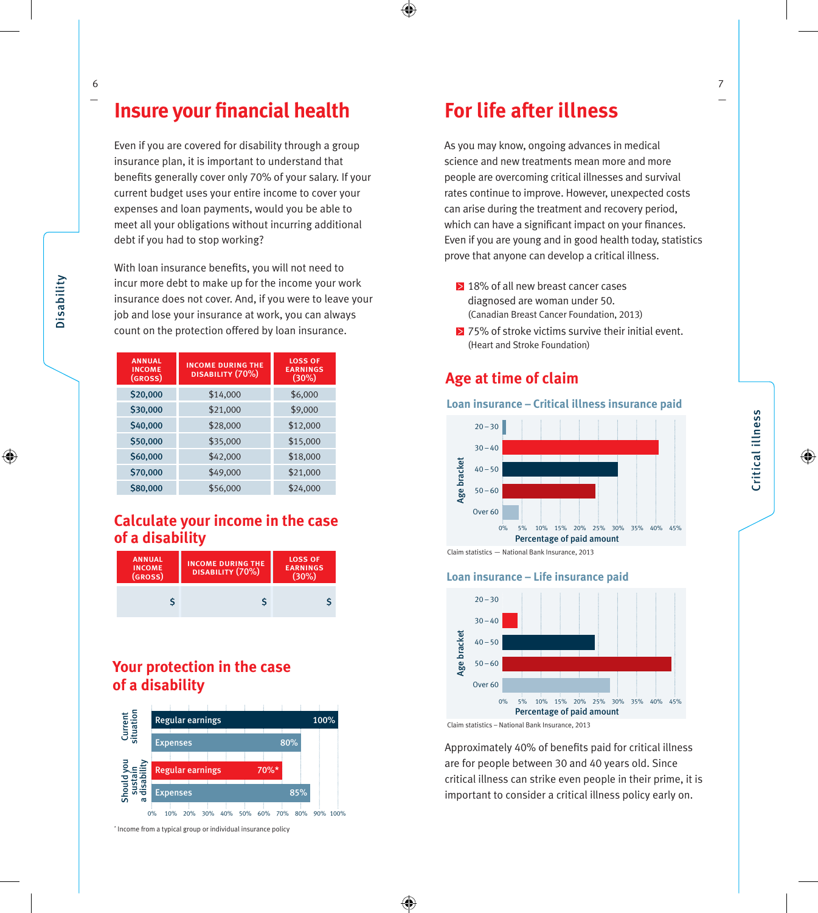Even if you are covered for disability through a group insurance plan, it is important to understand that benefits generally cover only 70% of your salary. If your current budget uses your entire income to cover your expenses and loan payments, would you be able to meet all your obligations without incurring additional debt if you had to stop working?

With loan insurance benefits, you will not need to incur more debt to make up for the income your work insurance does not cover. And, if you were to leave your job and lose your insurance at work, you can always count on the protection offered by loan insurance.

| <b>ANNUAL</b><br><b>INCOME</b><br>(GROSS) | <b>INCOME DURING THE</b><br>DISABILITY (70%) | <b>LOSS OF</b><br><b>EARNINGS</b><br>(30%) |
|-------------------------------------------|----------------------------------------------|--------------------------------------------|
| \$20,000                                  | \$14,000                                     | \$6,000                                    |
| \$30,000                                  | \$21,000                                     | \$9,000                                    |
| \$40,000                                  | \$28,000                                     | \$12,000                                   |
| \$50,000                                  | \$35,000                                     | \$15,000                                   |
| \$60,000                                  | \$42,000                                     | \$18,000                                   |
| \$70,000                                  | \$49,000                                     | \$21,000                                   |
| \$80,000                                  | \$56,000                                     | \$24,000                                   |

#### **Calculate your income in the case of a disability**



#### **Your protection in the case of a disability**



<sup>\*</sup> Income from a typical group or individual insurance policy

## **For life after illness**

As you may know, ongoing advances in medical science and new treatments mean more and more people are overcoming critical illnesses and survival rates continue to improve. However, unexpected costs can arise during the treatment and recovery period, which can have a significant impact on your finances. Even if you are young and in good health today, statistics prove that anyone can develop a critical illness.

- 18% of all new breast cancer cases diagnosed are woman under 50. (Canadian Breast Cancer Foundation, 2013)
- $\geq$  75% of stroke victims survive their initial event. (Heart and Stroke Foundation)

#### **Age at time of claim**

#### **Loan insurance – Critical illness insurance paid**



#### **Loan insurance – Life insurance paid**



Approximately 40% of benefits paid for critical illness are for people between 30 and 40 years old. Since critical illness can strike even people in their prime, it is important to consider a critical illness policy early on.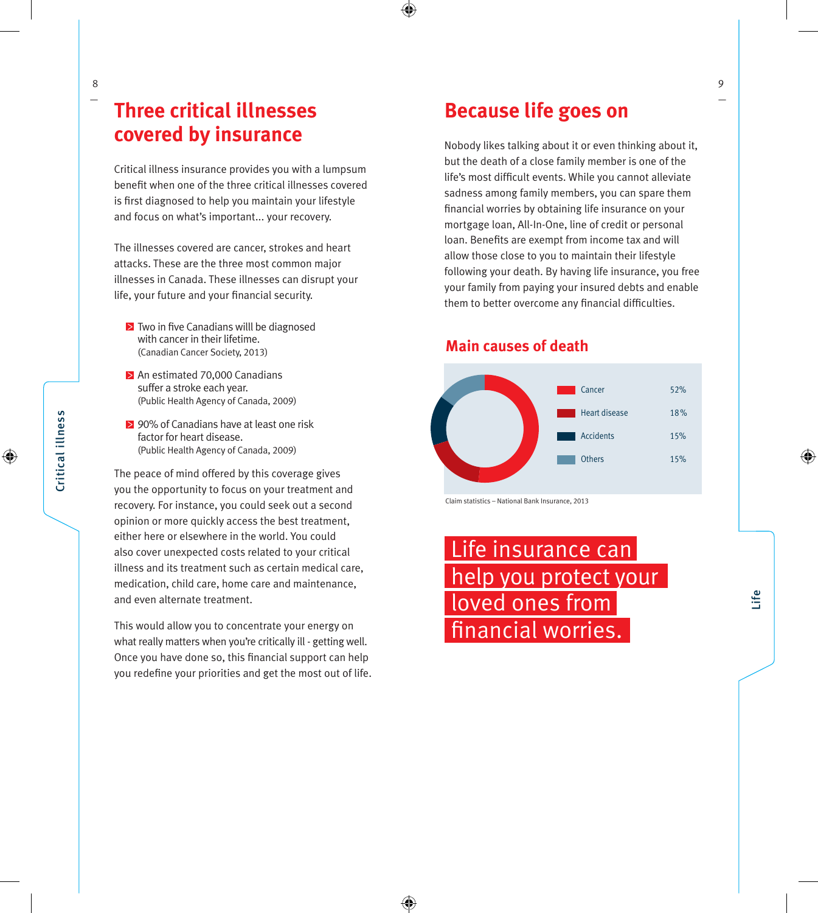## **Three critical illnesses covered by insurance**

Critical illness insurance provides you with a lumpsum benefit when one of the three critical illnesses covered is first diagnosed to help you maintain your lifestyle and focus on what's important... your recovery.

The illnesses covered are cancer, strokes and heart attacks. These are the three most common major illnesses in Canada. These illnesses can disrupt your life, your future and your financial security.

- $\geq$  Two in five Canadians willl be diagnosed with cancer in their lifetime. (Canadian Cancer Society, 2013 )
- $\geq$  An estimated 70,000 Canadians suffer a stroke each year. (Public Health Agency of Canada, 2009 )
- 90% of Canadians have at least one risk factor for heart disease. (Public Health Agency of Canada, 2009 )

The peace of mind offered by this coverage gives you the opportunity to focus on your treatment and recovery. For instance, you could seek out a second opinion or more quickly access the best treatment, either here or elsewhere in the world. You could also cover unexpected costs related to your critical illness and its treatment such as certain medical care, medication, child care, home care and maintenance, and even alternate treatment.

This would allow you to concentrate your energy on what really matters when you're critically ill - getting well. Once you have done so, this financial support can help you redefine your priorities and get the most out of life.

## **Because life goes on**

Nobody likes talking about it or even thinking about it, but the death of a close family member is one of the life's most difficult events. While you cannot alleviate sadness among family members, you can spare them<br>financial worries by obtaining life insurance on your mortgage loan, All-In-One, line of credit or personal loan. Benefits are exempt from income tax and will allow those close to you to maintain their lifestyle following your death. By having life insurance, you free your family from paying your insured debts and enable them to better overcome any financial difficulties.

#### **Main causes of death**



Claim statistics – National Bank Insurance, 2013

 Life insurance can help you protect your loved ones from financial worries.